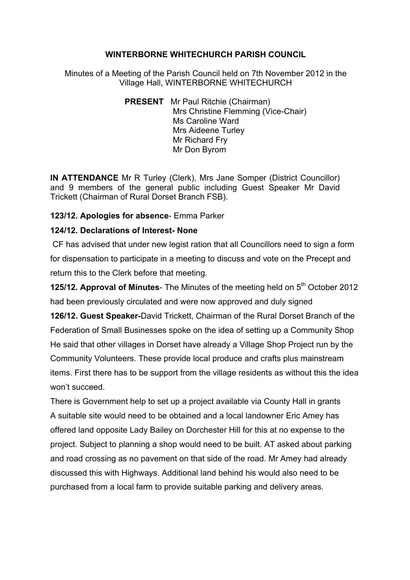### **WINTERBORNE WHITECHURCH PARISH COUNCIL**

Minutes of a Meeting of the Parish Council held on 7th November 2012 in the Village Hall, WINTERBORNE WHITECHURCH

> **PRESENT** Mr Paul Ritchie (Chairman) Mrs Christine Flemming (Vice-Chair) Ms Caroline Ward Mrs Aideene Turley Mr Richard Fry Mr Don Byrom

**IN ATTENDANCE** Mr R Turley (Clerk), Mrs Jane Somper (District Councillor) and 9 members of the general public including Guest Speaker Mr David Trickett (Chairman of Rural Dorset Branch FSB).

### **123/12. Apologies for absence**- Emma Parker

### **124/12. Declarations of Interest- None**

CF has advised that under new legist ration that all Councillors need to sign a form for dispensation to participate in a meeting to discuss and vote on the Precept and return this to the Clerk before that meeting.

**125/12. Approval of Minutes**- The Minutes of the meeting held on 5<sup>th</sup> October 2012 had been previously circulated and were now approved and duly signed

**126/12. Guest Speaker-**David Trickett, Chairman of the Rural Dorset Branch of the Federation of Small Businesses spoke on the idea of setting up a Community Shop He said that other villages in Dorset have already a Village Shop Project run by the Community Volunteers. These provide local produce and crafts plus mainstream items. First there has to be support from the village residents as without this the idea won't succeed.

There is Government help to set up a project available via County Hall in grants A suitable site would need to be obtained and a local landowner Eric Amey has offered land opposite Lady Bailey on Dorchester Hill for this at no expense to the project. Subject to planning a shop would need to be built. AT asked about parking and road crossing as no pavement on that side of the road. Mr Amey had already discussed this with Highways. Additional land behind his would also need to be purchased from a local farm to provide suitable parking and delivery areas.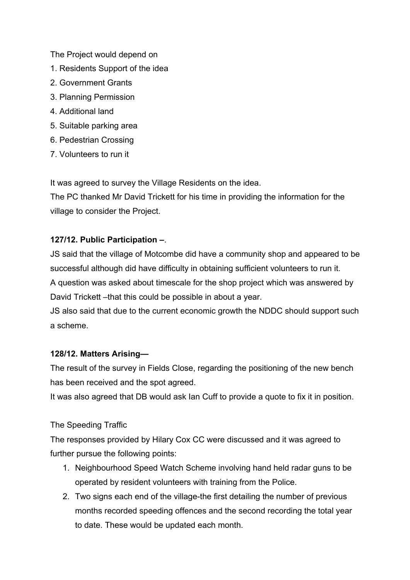The Project would depend on

- 1. Residents Support of the idea
- 2. Government Grants
- 3. Planning Permission
- 4. Additional land
- 5. Suitable parking area
- 6. Pedestrian Crossing
- 7. Volunteers to run it

It was agreed to survey the Village Residents on the idea.

The PC thanked Mr David Trickett for his time in providing the information for the village to consider the Project.

# **127/12. Public Participation –**.

JS said that the village of Motcombe did have a community shop and appeared to be successful although did have difficulty in obtaining sufficient volunteers to run it. A question was asked about timescale for the shop project which was answered by David Trickett –that this could be possible in about a year.

JS also said that due to the current economic growth the NDDC should support such a scheme.

## **128/12. Matters Arising—**

The result of the survey in Fields Close, regarding the positioning of the new bench has been received and the spot agreed.

It was also agreed that DB would ask Ian Cuff to provide a quote to fix it in position.

# The Speeding Traffic

The responses provided by Hilary Cox CC were discussed and it was agreed to further pursue the following points:

- 1. Neighbourhood Speed Watch Scheme involving hand held radar guns to be operated by resident volunteers with training from the Police.
- 2. Two signs each end of the village-the first detailing the number of previous months recorded speeding offences and the second recording the total year to date. These would be updated each month.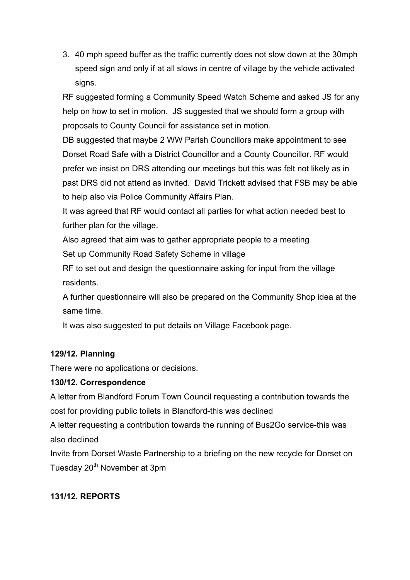3. 40 mph speed buffer as the traffic currently does not slow down at the 30mph speed sign and only if at all slows in centre of village by the vehicle activated signs.

RF suggested forming a Community Speed Watch Scheme and asked JS for any help on how to set in motion. JS suggested that we should form a group with proposals to County Council for assistance set in motion.

DB suggested that maybe 2 WW Parish Councillors make appointment to see Dorset Road Safe with a District Councillor and a County Councillor. RF would prefer we insist on DRS attending our meetings but this was felt not likely as in past DRS did not attend as invited. David Trickett advised that FSB may be able to help also via Police Community Affairs Plan.

It was agreed that RF would contact all parties for what action needed best to further plan for the village.

Also agreed that aim was to gather appropriate people to a meeting

Set up Community Road Safety Scheme in village

RF to set out and design the questionnaire asking for input from the village residents.

A further questionnaire will also be prepared on the Community Shop idea at the same time.

It was also suggested to put details on Village Facebook page.

## **129/12. Planning**

There were no applications or decisions.

#### **130/12. Correspondence**

A letter from Blandford Forum Town Council requesting a contribution towards the cost for providing public toilets in Blandford-this was declined

A letter requesting a contribution towards the running of Bus2Go service-this was also declined

Invite from Dorset Waste Partnership to a briefing on the new recycle for Dorset on Tuesday 20<sup>th</sup> November at 3pm

## **131/12. REPORTS**